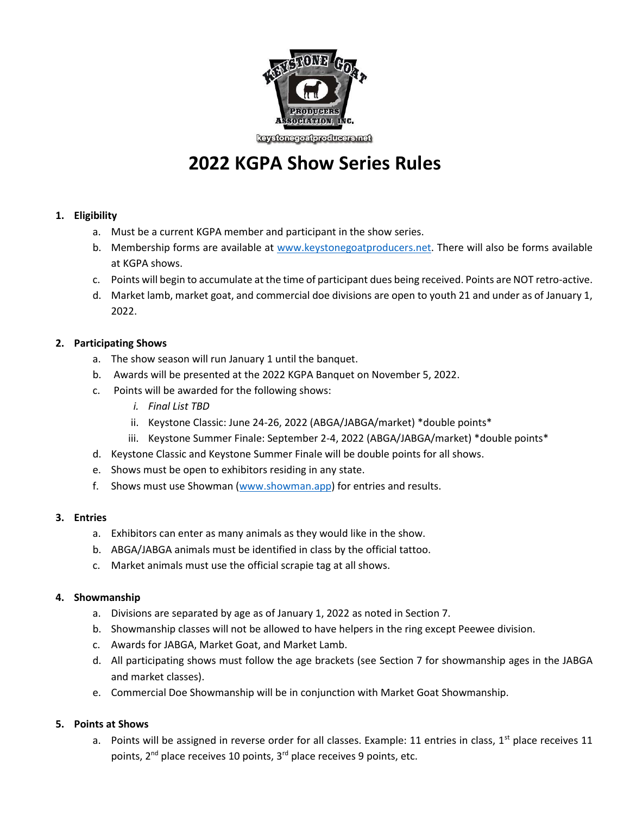

keystonegoatproducers.net

# **2022 KGPA Show Series Rules**

# **1. Eligibility**

- a. Must be a current KGPA member and participant in the show series.
- b. Membership forms are available at [www.keystonegoatproducers.net.](http://www.keystonegoatproducers.net/) There will also be forms available at KGPA shows.
- c. Points will begin to accumulate at the time of participant dues being received. Points are NOT retro-active.
- d. Market lamb, market goat, and commercial doe divisions are open to youth 21 and under as of January 1, 2022.

## **2. Participating Shows**

- a. The show season will run January 1 until the banquet.
- b. Awards will be presented at the 2022 KGPA Banquet on November 5, 2022.
- c. Points will be awarded for the following shows:
	- *i. Final List TBD*
	- ii. Keystone Classic: June 24-26, 2022 (ABGA/JABGA/market) \*double points\*
	- iii. Keystone Summer Finale: September 2-4, 2022 (ABGA/JABGA/market) \*double points\*
- d. Keystone Classic and Keystone Summer Finale will be double points for all shows.
- e. Shows must be open to exhibitors residing in any state.
- f. Shows must use Showman [\(www.showman.app\)](http://www.showman.app/) for entries and results.

#### **3. Entries**

- a. Exhibitors can enter as many animals as they would like in the show.
- b. ABGA/JABGA animals must be identified in class by the official tattoo.
- c. Market animals must use the official scrapie tag at all shows.

#### **4. Showmanship**

- a. Divisions are separated by age as of January 1, 2022 as noted in Section 7.
- b. Showmanship classes will not be allowed to have helpers in the ring except Peewee division.
- c. Awards for JABGA, Market Goat, and Market Lamb.
- d. All participating shows must follow the age brackets (see Section 7 for showmanship ages in the JABGA and market classes).
- e. Commercial Doe Showmanship will be in conjunction with Market Goat Showmanship.

#### **5. Points at Shows**

a. Points will be assigned in reverse order for all classes. Example: 11 entries in class,  $1<sup>st</sup>$  place receives 11 points, 2<sup>nd</sup> place receives 10 points, 3<sup>rd</sup> place receives 9 points, etc.